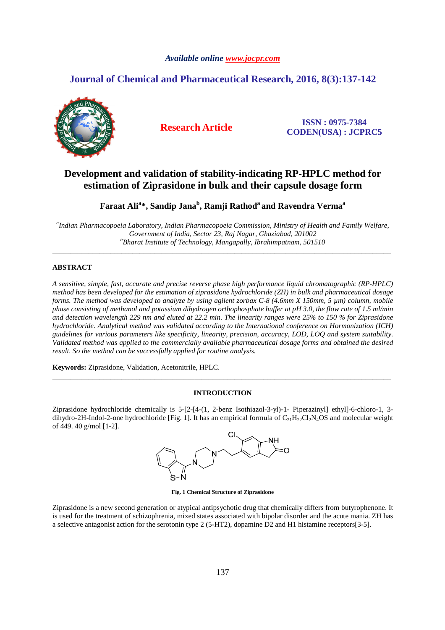# *Available online www.jocpr.com*

# **Journal of Chemical and Pharmaceutical Research, 2016, 8(3):137-142**



**Research Article ISSN : 0975-7384 CODEN(USA) : JCPRC5**

# **Development and validation of stability-indicating RP-HPLC method for estimation of Ziprasidone in bulk and their capsule dosage form**

**Faraat Ali<sup>a</sup> \*, Sandip Jana<sup>b</sup> , Ramji Rathod<sup>a</sup>and Ravendra Verma<sup>a</sup>**

*a Indian Pharmacopoeia Laboratory, Indian Pharmacopoeia Commission, Ministry of Health and Family Welfare, Government of India, Sector 23, Raj Nagar, Ghaziabad, 201002 <sup>b</sup>Bharat Institute of Technology, Mangapally, Ibrahimpatnam, 501510* 

\_\_\_\_\_\_\_\_\_\_\_\_\_\_\_\_\_\_\_\_\_\_\_\_\_\_\_\_\_\_\_\_\_\_\_\_\_\_\_\_\_\_\_\_\_\_\_\_\_\_\_\_\_\_\_\_\_\_\_\_\_\_\_\_\_\_\_\_\_\_\_\_\_\_\_\_\_\_\_\_\_\_\_\_\_\_\_\_\_\_\_\_\_

# **ABSTRACT**

*A sensitive, simple, fast, accurate and precise reverse phase high performance liquid chromatographic (RP-HPLC) method has been developed for the estimation of ziprasidone hydrochloride (ZH) in bulk and pharmaceutical dosage forms. The method was developed to analyze by using agilent zorbax C-8 (4.6mm X 150mm, 5 µm) column, mobile phase consisting of methanol and potassium dihydrogen orthophosphate buffer at pH 3.0, the flow rate of 1.5 ml/min and detection wavelength 229 nm and eluted at 22.2 min. The linearity ranges were 25% to 150 % for Ziprasidone hydrochloride. Analytical method was validated according to the International conference on Hormonization (ICH) guidelines for various parameters like specificity, linearity, precision, accuracy, LOD, LOQ and system suitability. Validated method was applied to the commercially available pharmaceutical dosage forms and obtained the desired result. So the method can be successfully applied for routine analysis.* 

**Keywords:** Ziprasidone, Validation, Acetonitrile, HPLC.

# **INTRODUCTION**

\_\_\_\_\_\_\_\_\_\_\_\_\_\_\_\_\_\_\_\_\_\_\_\_\_\_\_\_\_\_\_\_\_\_\_\_\_\_\_\_\_\_\_\_\_\_\_\_\_\_\_\_\_\_\_\_\_\_\_\_\_\_\_\_\_\_\_\_\_\_\_\_\_\_\_\_\_\_\_\_\_\_\_\_\_\_\_\_\_\_\_\_\_

Ziprasidone hydrochloride chemically is 5-[2-[4-(1, 2-benz Isothiazol-3-yl)-1- Piperazinyl] ethyl]-6-chloro-1, 3 dihydro-2H-Indol-2-one hydrochloride [Fig. 1]. It has an empirical formula of  $C_{21}H_{22}Cl_{2}N_{4}OS$  and molecular weight of 449. 40 g/mol [1-2].



**Fig. 1 Chemical Structure of Ziprasidone** 

Ziprasidone is a new second generation or atypical antipsychotic drug that chemically differs from butyrophenone. It is used for the treatment of schizophrenia, mixed states associated with bipolar disorder and the acute mania. ZH has a selective antagonist action for the serotonin type 2 (5-HT2), dopamine D2 and H1 histamine receptors[3-5].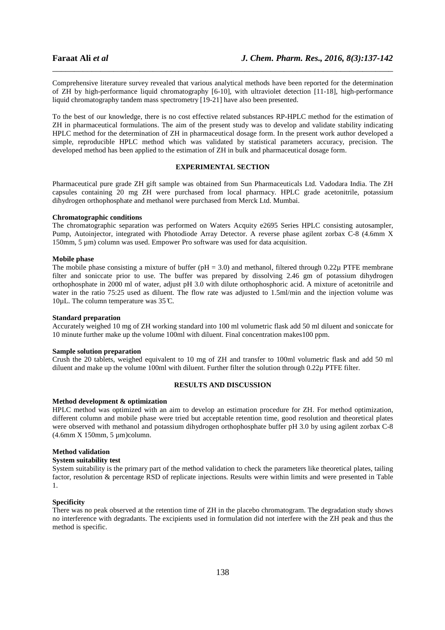Comprehensive literature survey revealed that various analytical methods have been reported for the determination of ZH by high-performance liquid chromatography [6-10], with ultraviolet detection [11-18], high-performance liquid chromatography tandem mass spectrometry [19-21] have also been presented.

\_\_\_\_\_\_\_\_\_\_\_\_\_\_\_\_\_\_\_\_\_\_\_\_\_\_\_\_\_\_\_\_\_\_\_\_\_\_\_\_\_\_\_\_\_\_\_\_\_\_\_\_\_\_\_\_\_\_\_\_\_\_\_\_\_\_\_\_\_\_\_\_\_\_\_\_\_\_

To the best of our knowledge, there is no cost effective related substances RP-HPLC method for the estimation of ZH in pharmaceutical formulations. The aim of the present study was to develop and validate stability indicating HPLC method for the determination of ZH in pharmaceutical dosage form. In the present work author developed a simple, reproducible HPLC method which was validated by statistical parameters accuracy, precision. The developed method has been applied to the estimation of ZH in bulk and pharmaceutical dosage form.

# **EXPERIMENTAL SECTION**

Pharmaceutical pure grade ZH gift sample was obtained from Sun Pharmaceuticals Ltd. Vadodara India. The ZH capsules containing 20 mg ZH were purchased from local pharmacy. HPLC grade acetonitrile, potassium dihydrogen orthophosphate and methanol were purchased from Merck Ltd. Mumbai.

#### **Chromatographic conditions**

The chromatographic separation was performed on Waters Acquity e2695 Series HPLC consisting autosampler, Pump, Autoinjector, integrated with Photodiode Array Detector. A reverse phase agilent zorbax C-8 (4.6mm X 150mm, 5 um) column was used. Empower Pro software was used for data acquisition.

# **Mobile phase**

The mobile phase consisting a mixture of buffer ( $pH = 3.0$ ) and methanol, filtered through 0.22 $\mu$  PTFE membrane filter and soniccate prior to use. The buffer was prepared by dissolving 2.46 gm of potassium dihydrogen orthophosphate in 2000 ml of water, adjust pH 3.0 with dilute orthophosphoric acid. A mixture of acetonitrile and water in the ratio 75:25 used as diluent. The flow rate was adjusted to 1.5ml/min and the injection volume was 10 $\mu$ L. The column temperature was 35°C.

### **Standard preparation**

Accurately weighed 10 mg of ZH working standard into 100 ml volumetric flask add 50 ml diluent and soniccate for 10 minute further make up the volume 100ml with diluent. Final concentration makes100 ppm.

#### **Sample solution preparation**

Crush the 20 tablets, weighed equivalent to 10 mg of ZH and transfer to 100ml volumetric flask and add 50 ml diluent and make up the volume 100ml with diluent. Further filter the solution through 0.22µ PTFE filter.

# **RESULTS AND DISCUSSION**

#### **Method development & optimization**

HPLC method was optimized with an aim to develop an estimation procedure for ZH. For method optimization, different column and mobile phase were tried but acceptable retention time, good resolution and theoretical plates were observed with methanol and potassium dihydrogen orthophosphate buffer pH 3.0 by using agilent zorbax C-8 (4.6mm X 150mm, 5 µm)column.

#### **Method validation**

# **System suitability test**

System suitability is the primary part of the method validation to check the parameters like theoretical plates, tailing factor, resolution & percentage RSD of replicate injections. Results were within limits and were presented in Table 1.

### **Specificity**

There was no peak observed at the retention time of ZH in the placebo chromatogram. The degradation study shows no interference with degradants. The excipients used in formulation did not interfere with the ZH peak and thus the method is specific.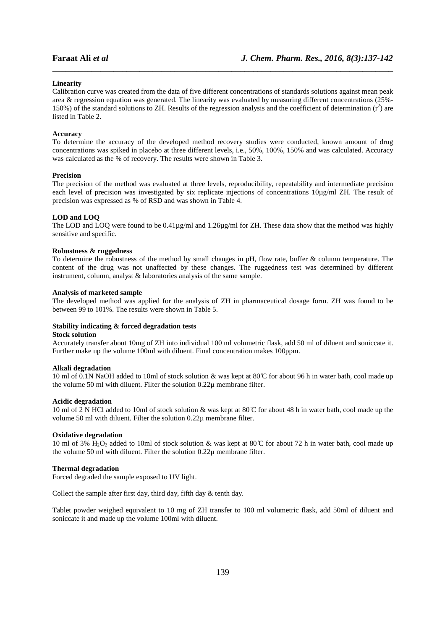# **Linearity**

Calibration curve was created from the data of five different concentrations of standards solutions against mean peak area & regression equation was generated. The linearity was evaluated by measuring different concentrations (25%- 150%) of the standard solutions to ZH. Results of the regression analysis and the coefficient of determination  $(r^2)$  are listed in Table 2.

\_\_\_\_\_\_\_\_\_\_\_\_\_\_\_\_\_\_\_\_\_\_\_\_\_\_\_\_\_\_\_\_\_\_\_\_\_\_\_\_\_\_\_\_\_\_\_\_\_\_\_\_\_\_\_\_\_\_\_\_\_\_\_\_\_\_\_\_\_\_\_\_\_\_\_\_\_\_

## **Accuracy**

To determine the accuracy of the developed method recovery studies were conducted, known amount of drug concentrations was spiked in placebo at three different levels, i.e., 50%, 100%, 150% and was calculated. Accuracy was calculated as the % of recovery. The results were shown in Table 3.

# **Precision**

The precision of the method was evaluated at three levels, reproducibility, repeatability and intermediate precision each level of precision was investigated by six replicate injections of concentrations 10µg/ml ZH. The result of precision was expressed as % of RSD and was shown in Table 4.

#### **LOD and LOQ**

The LOD and LOQ were found to be 0.41µg/ml and 1.26µg/ml for ZH. These data show that the method was highly sensitive and specific.

#### **Robustness & ruggedness**

To determine the robustness of the method by small changes in pH, flow rate, buffer & column temperature. The content of the drug was not unaffected by these changes. The ruggedness test was determined by different instrument, column, analyst & laboratories analysis of the same sample.

#### **Analysis of marketed sample**

The developed method was applied for the analysis of ZH in pharmaceutical dosage form. ZH was found to be between 99 to 101%. The results were shown in Table 5.

# **Stability indicating & forced degradation tests**

# **Stock solution**

Accurately transfer about 10mg of ZH into individual 100 ml volumetric flask, add 50 ml of diluent and soniccate it. Further make up the volume 100ml with diluent. Final concentration makes 100ppm.

#### **Alkali degradation**

10 ml of 0.1N NaOH added to 10ml of stock solution & was kept at 80 ̊C for about 96 h in water bath, cool made up the volume 50 ml with diluent. Filter the solution 0.22µ membrane filter.

#### **Acidic degradation**

10 ml of 2 N HCl added to 10ml of stock solution & was kept at 80 ̊C for about 48 h in water bath, cool made up the volume 50 ml with diluent. Filter the solution 0.22µ membrane filter.

# **Oxidative degradation**

10 ml of 3% H<sub>2</sub>O<sub>2</sub> added to 10ml of stock solution & was kept at 80  $\degree$  for about 72 h in water bath, cool made up the volume 50 ml with diluent. Filter the solution 0.22µ membrane filter.

#### **Thermal degradation**

Forced degraded the sample exposed to UV light.

Collect the sample after first day, third day, fifth day & tenth day.

Tablet powder weighed equivalent to 10 mg of ZH transfer to 100 ml volumetric flask, add 50ml of diluent and soniccate it and made up the volume 100ml with diluent.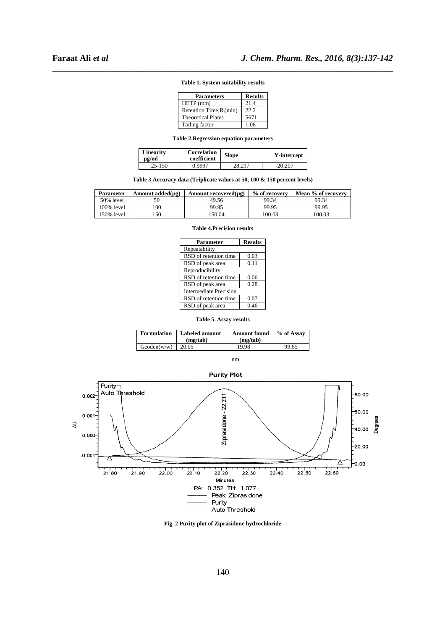| Table 1. System suitability results |  |
|-------------------------------------|--|

| <b>Parameters</b>           | <b>Results</b> |
|-----------------------------|----------------|
| HETP (mm)                   | 21.4           |
| Retention Time, $R_t$ (min) | 22.2           |
| <b>Theoretical Plates</b>   | 5671           |
| Tailing factor              | 1.08           |

**Table 2.Regression equation parameters** 

| <b>Linearity</b><br>$\mu$ g/ml | Correlation<br>coefficient | <b>Slope</b> | Y-intercept |
|--------------------------------|----------------------------|--------------|-------------|
| 25-150                         | 0.9997                     | 28.217       | $-20.207$   |

# **Table 3.Accuracy data (Triplicate values at 50, 100 & 150 percent levels)**

| Parameter  | Amount added $(\mu g)$ | Amount recovered $(\mu g)$ | % of recovery | Mean % of recovery |
|------------|------------------------|----------------------------|---------------|--------------------|
| 50% level  | 50                     | 49.56                      | 99.34         | 99.34              |
| 100% level | .00                    | 99.95                      | 99.95         | 99.95              |
| 150% level | 50                     | 150.04                     | 100.03        | 100.03             |

| <b>Parameter</b>       | <b>Results</b> |  |
|------------------------|----------------|--|
| Repeatability          |                |  |
| RSD of retention time  | 0.03           |  |
| RSD of peak area       | 0.11           |  |
| Reproducibility        |                |  |
| RSD of retention time  | 0.06           |  |
| RSD of peak area       | 0.28           |  |
| Intermediate Precision |                |  |
| RSD of retention time  | 0.07           |  |
| RSD of peak area       | 0.46           |  |

| <b>Table 4.Precision results</b> |
|----------------------------------|
|                                  |

|  |  |  | Table 5. Assay results |
|--|--|--|------------------------|
|--|--|--|------------------------|

| <b>Formulation</b> | <b>Labeled amount</b><br>(mz/tab) | <b>Amount found</b><br>(mz/tab) | % of Assay |
|--------------------|-----------------------------------|---------------------------------|------------|
| Geoden(w/w)        | 20.05                             | 19.98                           | 99.65      |

 $n<sub>m</sub>$ 



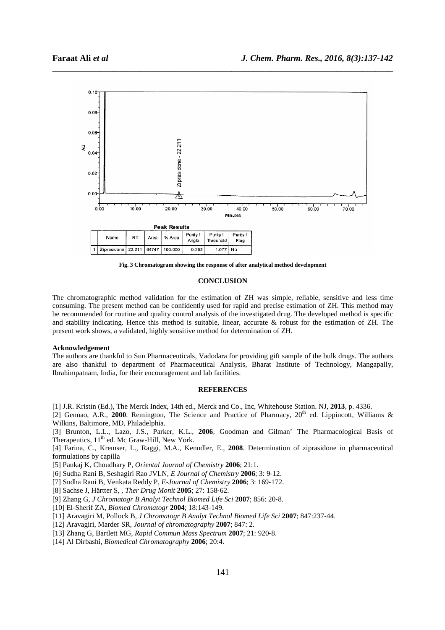

\_\_\_\_\_\_\_\_\_\_\_\_\_\_\_\_\_\_\_\_\_\_\_\_\_\_\_\_\_\_\_\_\_\_\_\_\_\_\_\_\_\_\_\_\_\_\_\_\_\_\_\_\_\_\_\_\_\_\_\_\_\_\_\_\_\_\_\_\_\_\_\_\_\_\_\_\_\_

**Fig. 3 Chromatogram showing the response of after analytical method development** 

#### **CONCLUSION**

The chromatographic method validation for the estimation of ZH was simple, reliable, sensitive and less time consuming. The present method can be confidently used for rapid and precise estimation of ZH. This method may be recommended for routine and quality control analysis of the investigated drug. The developed method is specific and stability indicating. Hence this method is suitable, linear, accurate & robust for the estimation of ZH. The present work shows, a validated, highly sensitive method for determination of ZH.

#### **Acknowledgement**

The authors are thankful to Sun Pharmaceuticals, Vadodara for providing gift sample of the bulk drugs. The authors are also thankful to department of Pharmaceutical Analysis, Bharat Institute of Technology, Mangapally, Ibrahimpatnam, India, for their encouragement and lab facilities.

# **REFERENCES**

[1] J.R. Kristin (Ed.), The Merck Index, 14th ed., Merck and Co., Inc, Whitehouse Station. NJ, **2013**, p. 4336.

[2] Gennao, A.R., **2000**. Remington, The Science and Practice of Pharmacy,  $20<sup>th</sup>$  ed. Lippincott, Williams & Wilkins, Baltimore, MD, Philadelphia.

[3] Brunton, L.L., Lazo, J.S., Parker, K.L., **2006**, Goodman and Gilman' The Pharmacological Basis of Therapeutics, 11<sup>th</sup> ed. Mc Graw-Hill, New York.

[4] Farina, C., Kremser, L., Raggi, M.A., Kenndler, E., **2008**. Determination of ziprasidone in pharmaceutical formulations by capilla

[5] Pankaj K, Choudhary P, *Oriental Journal of Chemistry* **2006**; 21:1.

[6] Sudha Rani B, Seshagiri Rao JVLN, *E Journal of Chemistry* **2006**; 3: 9‐12.

[7] Sudha Rani B, Venkata Reddy P, *E*‐*Journal of Chemistry* **2006**; 3: 169‐172.

[8] Sachse J, Härtter S, , *Ther Drug Monit* **2005**; 27: 158‐62.

[9] Zhang G, *J Chromatogr B Analyt Technol Biomed Life Sci* **2007**; 856: 20‐8.

[10] El‐Sherif ZA, *Biomed Chromatogr* **2004**; 18:143‐149.

[11] Aravagiri M, Pollock B, *J Chromatogr B Analyt Technol Biomed Life Sci* **2007**; 847:237‐44.

[12] Aravagiri, Marder SR, *Journal of chromatography* **2007**; 847: 2.

[13] Zhang G, Bartlett MG, *Rapid Commun Mass Spectrum* **2007**; 21: 920‐8.

[14] Al Dirbashi, *Biomedical Chromatography* **2006**; 20:4.